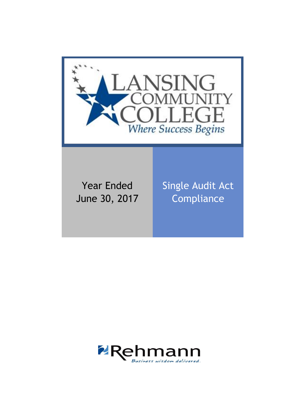

Year Ended June 30, 2017 Single Audit Act **Compliance** 

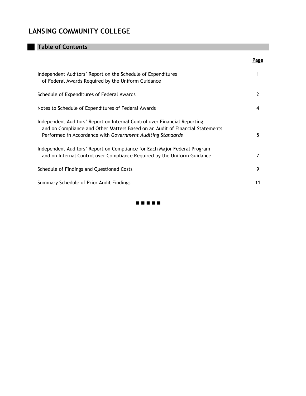# **Table of Contents**

|                                                                                                                                                                                                                          | Page |
|--------------------------------------------------------------------------------------------------------------------------------------------------------------------------------------------------------------------------|------|
| Independent Auditors' Report on the Schedule of Expenditures<br>of Federal Awards Required by the Uniform Guidance                                                                                                       | 1    |
| Schedule of Expenditures of Federal Awards                                                                                                                                                                               | 2    |
| Notes to Schedule of Expenditures of Federal Awards                                                                                                                                                                      | 4    |
| Independent Auditors' Report on Internal Control over Financial Reporting<br>and on Compliance and Other Matters Based on an Audit of Financial Statements<br>Performed in Accordance with Government Auditing Standards | 5    |
| Independent Auditors' Report on Compliance for Each Major Federal Program<br>and on Internal Control over Compliance Required by the Uniform Guidance                                                                    | 7    |
| Schedule of Findings and Questioned Costs                                                                                                                                                                                | 9    |
| Summary Schedule of Prior Audit Findings                                                                                                                                                                                 | 11   |

![](_page_1_Picture_3.jpeg)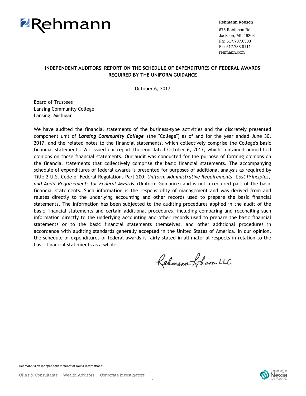![](_page_2_Picture_0.jpeg)

#### **Rehmann Robson**

675 Robinson Rd. Jackson, MI 49203 Ph: 517.787.6503 Fx: 517.788.8111 rehmann.com

# **INDEPENDENT AUDITORS' REPORT ON THE SCHEDULE OF EXPENDITURES OF FEDERAL AWARDS REQUIRED BY THE UNIFORM GUIDANCE**

October 6, 2017

Board of Trustees Lansing Community College Lansing, Michigan

We have audited the financial statements of the business-type activities and the discretely presented component unit of *Lansing Community College* (the "College") as of and for the year ended June 30, 2017, and the related notes to the financial statements, which collectively comprise the College's basic financial statements. We issued our report thereon dated October 6, 2017, which contained unmodified opinions on those financial statements. Our audit was conducted for the purpose of forming opinions on the financial statements that collectively comprise the basic financial statements. The accompanying schedule of expenditures of federal awards is presented for purposes of additional analysis as required by Title 2 U.S. Code of Federal Regulations Part 200, *Uniform Administrative Requirements, Cost Principles, and Audit Requirements for Federal Awards* (Uniform Guidance) and is not a required part of the basic financial statements. Such information is the responsibility of management and was derived from and relates directly to the underlying accounting and other records used to prepare the basic financial statements. The information has been subjected to the auditing procedures applied in the audit of the basic financial statements and certain additional procedures, including comparing and reconciling such information directly to the underlying accounting and other records used to prepare the basic financial statements or to the basic financial statements themselves, and other additional procedures in accordance with auditing standards generally accepted in the United States of America. In our opinion, the schedule of expenditures of federal awards is fairly stated in all material respects in relation to the basic financial statements as a whole.

Rehmann Lobam LLC

![](_page_2_Picture_10.jpeg)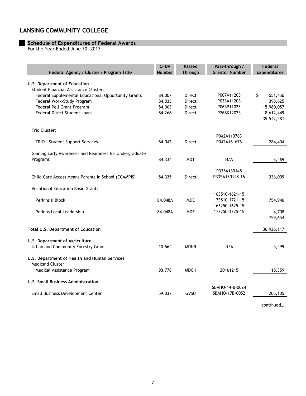# **Schedule of Expenditures of Federal Awards**

For the Year Ended June 30, 2017

| Federal Agency / Cluster / Program Title                                            | <b>CFDA</b><br><b>Number</b> | <b>Passed</b><br><b>Through</b> | Pass-through /<br><b>Grantor Number</b> | <b>Federal</b><br><b>Expenditures</b> |
|-------------------------------------------------------------------------------------|------------------------------|---------------------------------|-----------------------------------------|---------------------------------------|
|                                                                                     |                              |                                 |                                         |                                       |
| <b>U.S. Department of Education</b><br><b>Student Financial Assistance Cluster:</b> |                              |                                 |                                         |                                       |
| Federal Supplemental Educational Opportunity Grants                                 | 84.007                       | <b>Direct</b>                   | P007A11203                              | \$<br>551,450                         |
| Federal Work-Study Program                                                          | 84.033                       | <b>Direct</b>                   | P033A11203                              | 398,625                               |
| Federal Pell Grant Program                                                          | 84.063                       | <b>Direct</b>                   | P063P11023                              | 15,980,057                            |
| <b>Federal Direct Student Loans</b>                                                 | 84.268                       | <b>Direct</b>                   | P268K12023                              | 18,612,449                            |
|                                                                                     |                              |                                 |                                         | 35,542,581                            |
| Trio Cluster:                                                                       |                              |                                 |                                         |                                       |
|                                                                                     |                              |                                 | P042A110763                             |                                       |
| TRIO - Student Support Services                                                     | 84.042                       | <b>Direct</b>                   | P042A161676                             | 284,404                               |
| Gaining Early Awareness and Readiness for Undergraduate                             |                              |                                 |                                         |                                       |
| Programs                                                                            | 84.334                       | <b>MDT</b>                      | N/A                                     | 3,469                                 |
|                                                                                     |                              |                                 | P335A130148                             |                                       |
| Child Care Access Means Parents in School (CCAMPIS)                                 | 84.335                       | <b>Direct</b>                   | P335A130148-16                          | 336,009                               |
| <b>Vocational Education Basic Grant:</b>                                            |                              |                                 |                                         |                                       |
|                                                                                     |                              |                                 | 163510-1621-15                          |                                       |
| Perkins II Block                                                                    | 84.048A                      | <b>MDE</b>                      | 173510-1721-15                          | 754,946                               |
|                                                                                     |                              |                                 | 163250-1625-15                          |                                       |
| Perkins Local Leadership                                                            | 84.048A                      | <b>MDE</b>                      | 173250-1725-15                          | 4,708                                 |
|                                                                                     |                              |                                 |                                         | 759,654                               |
| <b>Total U.S. Department of Education</b>                                           |                              |                                 |                                         | 36,926,117                            |
| <b>U.S. Department of Agriculture</b>                                               |                              |                                 |                                         |                                       |
| Urban and Community Forestry Grant                                                  | 10.664                       | <b>MDNR</b>                     | N/A                                     | 5,499                                 |
| U.S. Department of Health and Human Services                                        |                              |                                 |                                         |                                       |
| <b>Medicaid Cluster:</b>                                                            |                              |                                 |                                         |                                       |
| Medical Assistance Program                                                          | 93.778                       | <b>MDCH</b>                     | 20161215                                | 18,359                                |
| <b>U.S. Small Business Administration</b>                                           |                              |                                 |                                         |                                       |
|                                                                                     |                              |                                 | SBAHQ-14-B-0024                         |                                       |
| Small Business Development Center                                                   | 59.037                       | GVSU                            | SBAHQ-17B-0052                          | 205,105                               |

continued…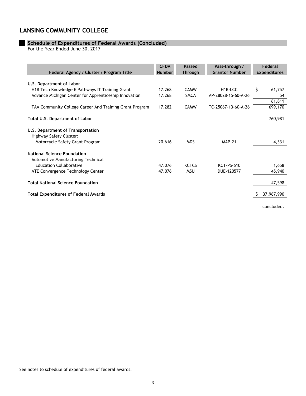# **Schedule of Expenditures of Federal Awards (Concluded)**

For the Year Ended June 30, 2017

| Federal Agency / Cluster / Program Title                | <b>CFDA</b><br><b>Number</b> | <b>Passed</b><br><b>Through</b> | Pass-through /<br><b>Grantor Number</b> | Federal<br><b>Expenditures</b> |
|---------------------------------------------------------|------------------------------|---------------------------------|-----------------------------------------|--------------------------------|
|                                                         |                              |                                 |                                         |                                |
| U.S. Department of Labor                                |                              |                                 |                                         |                                |
| H1B Tech Knowledge E Pathways IT Training Grant         | 17.268                       | <b>CAMW</b>                     | H <sub>1</sub> B-LCC                    | \$<br>61,757                   |
| Advance Michigan Center for Apprenticeship Innovation   | 17.268                       | <b>SMCA</b>                     | AP-28028-15-60-A-26                     | 54                             |
|                                                         |                              |                                 |                                         | 61,811                         |
| TAA Community College Career And Training Grant Program | 17.282                       | <b>CAMW</b>                     | TC-25067-13-60-A-26                     | 699,170                        |
|                                                         |                              |                                 |                                         |                                |
| <b>Total U.S. Department of Labor</b>                   |                              |                                 |                                         | 760,981                        |
|                                                         |                              |                                 |                                         |                                |
| U.S. Department of Transportation                       |                              |                                 |                                         |                                |
| <b>Highway Safety Cluster:</b>                          |                              |                                 |                                         |                                |
| Motorcycle Safety Grant Program                         | 20.616                       | <b>MDS</b>                      | <b>MAP-21</b>                           | 4,331                          |
| <b>National Science Foundation</b>                      |                              |                                 |                                         |                                |
| Automotive Manufacturing Technical                      |                              |                                 |                                         |                                |
| <b>Education Collaborative</b>                          | 47.076                       | <b>KCTCS</b>                    | <b>KCT-PS-610</b>                       | 1,658                          |
| ATE Convergence Technology Center                       | 47.076                       | <b>MSU</b>                      | DUE-120577                              | 45,940                         |
|                                                         |                              |                                 |                                         |                                |
| <b>Total National Science Foundation</b>                |                              |                                 |                                         | 47,598                         |
| <b>Total Expenditures of Federal Awards</b>             |                              |                                 |                                         | 37,967,990                     |
|                                                         |                              |                                 |                                         |                                |
|                                                         |                              |                                 |                                         |                                |

concluded.

See notes to schedule of expenditures of federal awards.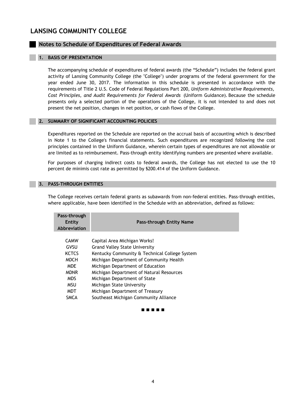# **Notes to Schedule of Expenditures of Federal Awards**

### **1. BASIS OF PRESENTATION**

The accompanying schedule of expenditures of federal awards (the "Schedule") includes the federal grant activity of Lansing Community College (the "College") under programs of the federal government for the year ended June 30, 2017. The information in this schedule is presented in accordance with the requirements of Title 2 U.S. Code of Federal Regulations Part 200, *Uniform Administrative Requirements, Cost Principles, and Audit Requirements for Federal Awards* (Uniform Guidance)*.* Because the schedule presents only a selected portion of the operations of the College, it is not intended to and does not present the net position, changes in net position, or cash flows of the College.

#### **2. SUMMARY OF SIGNIFICANT ACCOUNTING POLICIES**

Expenditures reported on the Schedule are reported on the accrual basis of accounting which is described in Note 1 to the College's financial statements. Such expenditures are recognized following the cost principles contained in the Uniform Guidance, wherein certain types of expenditures are not allowable or are limited as to reimbursement. Pass-through entity identifying numbers are presented where available.

For purposes of charging indirect costs to federal awards, the College has not elected to use the 10 percent de minimis cost rate as permitted by §200.414 of the Uniform Guidance.

#### **3. PASS-THROUGH ENTITIES**

The College receives certain federal grants as subawards from non-federal entities. Pass-through entities, where applicable, have been identified in the Schedule with an abbreviation, defined as follows:

| Pass-through<br>Entity<br>Abbreviation | Pass-through Entity Name                      |
|----------------------------------------|-----------------------------------------------|
|                                        |                                               |
| <b>CAMW</b>                            | Capital Area Michigan Works!                  |
| GVSU                                   | <b>Grand Valley State University</b>          |
| <b>KCTCS</b>                           | Kentucky Community & Technical College System |
| <b>MDCH</b>                            | Michigan Department of Community Health       |
| <b>MDE</b>                             | Michigan Department of Education              |
| <b>MDNR</b>                            | Michigan Department of Natural Resources      |
| <b>MDS</b>                             | Michigan Department of State                  |
| <b>MSU</b>                             | Michigan State University                     |
| <b>MDT</b>                             | Michigan Department of Treasury               |
| <b>SMCA</b>                            | Southeast Michigan Community Alliance         |

#### n n n n n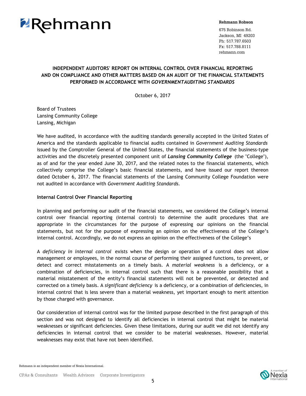![](_page_6_Picture_0.jpeg)

**Rehmann Robson**

675 Robinson Rd. Jackson, MI 49203 Ph: 517.787.6503 Fx: 517.788.8111 rehmann.com

# **INDEPENDENT AUDITORS' REPORT ON INTERNAL CONTROL OVER FINANCIAL REPORTING AND ON COMPLIANCE AND OTHER MATTERS BASED ON AN AUDIT OF THE FINANCIAL STATEMENTS PERFORMED IN ACCORDANCE WITH** *GOVERNMENTAUDITING STANDARDS*

October 6, 2017

Board of Trustees Lansing Community College Lansing, Michigan

We have audited, in accordance with the auditing standards generally accepted in the United States of America and the standards applicable to financial audits contained in *Government Auditing Standards* issued by the Comptroller General of the United States, the financial statements of the business-type activities and the discretely presented component unit of *Lansing Community College* (the "College"), as of and for the year ended June 30, 2017, and the related notes to the financial statements, which collectively comprise the College's basic financial statements, and have issued our report thereon dated October 6, 2017. The financial statements of the Lansing Community College Foundation were not audited in accordance with *Government Auditing Standards.*

### **Internal Control Over Financial Reporting**

In planning and performing our audit of the financial statements, we considered the College's internal control over financial reporting (internal control) to determine the audit procedures that are appropriate in the circumstances for the purpose of expressing our opinions on the financial statements, but not for the purpose of expressing an opinion on the effectiveness of the College's internal control. Accordingly, we do not express an opinion on the effectiveness of the College's

A *deficiency in internal control* exists when the design or operation of a control does not allow management or employees, in the normal course of performing their assigned functions, to prevent, or detect and correct misstatements on a timely basis. A *material weakness* is a deficiency, or a combination of deficiencies, in internal control such that there is a reasonable possibility that a material misstatement of the entity's financial statements will not be prevented, or detected and corrected on a timely basis. A *significant deficiency* is a deficiency, or a combination of deficiencies, in internal control that is less severe than a material weakness, yet important enough to merit attention by those charged with governance.

Our consideration of internal control was for the limited purpose described in the first paragraph of this section and was not designed to identify all deficiencies in internal control that might be material weaknesses or significant deficiencies. Given these limitations, during our audit we did not identify any deficiencies in internal control that we consider to be material weaknesses. However, material weaknesses may exist that have not been identified.

Rehmann is an independent member of Nexia International.

![](_page_6_Picture_13.jpeg)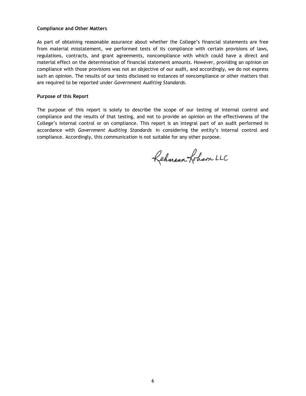#### **Compliance and Other Matters**

As part of obtaining reasonable assurance about whether the College's financial statements are free from material misstatement, we performed tests of its compliance with certain provisions of laws, regulations, contracts, and grant agreements, noncompliance with which could have a direct and material effect on the determination of financial statement amounts. However, providing an opinion on compliance with those provisions was not an objective of our audit, and accordingly, we do not express such an opinion. The results of our tests disclosed no instances of noncompliance or other matters that are required to be reported under *Government Auditing Standards.*

#### **Purpose of this Report**

The purpose of this report is solely to describe the scope of our testing of internal control and compliance and the results of that testing, and not to provide an opinion on the effectiveness of the College's internal control or on compliance. This report is an integral part of an audit performed in accordance with *Government Auditing Standards* in considering the entity's internal control and compliance. Accordingly, this communication is not suitable for any other purpose.

Rehmann Lobam LLC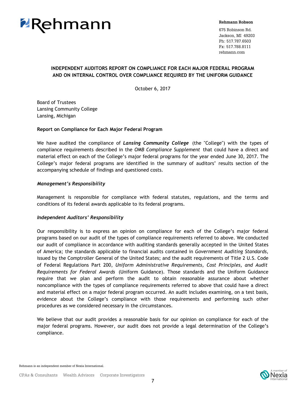![](_page_8_Picture_0.jpeg)

#### **Rehmann Robson**

675 Robinson Rd. Jackson, MI 49203 Ph: 517.787.6503 Fx: 517.788.8111 rehmann.com

# **INDEPENDENT AUDITORS REPORT ON COMPLIANCE FOR EACH MAJOR FEDERAL PROGRAM AND ON INTERNAL CONTROL OVER COMPLIANCE REQUIRED BY THE UNIFORM GUIDANCE**

October 6, 2017

Board of Trustees Lansing Community College Lansing, Michigan

### **Report on Compliance for Each Major Federal Program**

We have audited the compliance of *Lansing Community College* (the "College") with the types of compliance requirements described in the *OMB Compliance Supplement* that could have a direct and material effect on each of the College's major federal programs for the year ended June 30, 2017. The College's major federal programs are identified in the summary of auditors' results section of the accompanying schedule of findings and questioned costs.

#### *Management's Responsibility*

Management is responsible for compliance with federal statutes, regulations, and the terms and conditions of its federal awards applicable to its federal programs.

### *Independent Auditors' Responsibility*

Our responsibility is to express an opinion on compliance for each of the College's major federal programs based on our audit of the types of compliance requirements referred to above. We conducted our audit of compliance in accordance with auditing standards generally accepted in the United States of America; the standards applicable to financial audits contained in *Government Auditing Standards,* issued by the Comptroller General of the United States; and the audit requirements of Title 2 U.S. Code of Federal Regulations Part 200, *Uniform Administrative Requirements, Cost Principles, and Audit Requirements for Federal Awards* (Uniform Guidance). Those standards and the Uniform Guidance require that we plan and perform the audit to obtain reasonable assurance about whether noncompliance with the types of compliance requirements referred to above that could have a direct and material effect on a major federal program occurred. An audit includes examining, on a test basis, evidence about the College's compliance with those requirements and performing such other procedures as we considered necessary in the circumstances.

We believe that our audit provides a reasonable basis for our opinion on compliance for each of the major federal programs. However, our audit does not provide a legal determination of the College's compliance.

Rehmann is an independent member of Nexia International.

![](_page_8_Picture_15.jpeg)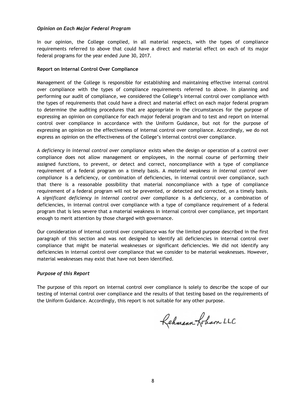### *Opinion on Each Major Federal Program*

In our opinion, the College complied, in all material respects, with the types of compliance requirements referred to above that could have a direct and material effect on each of its major federal programs for the year ended June 30, 2017.

### **Report on Internal Control Over Compliance**

Management of the College is responsible for establishing and maintaining effective internal control over compliance with the types of compliance requirements referred to above. In planning and performing our audit of compliance, we considered the College's internal control over compliance with the types of requirements that could have a direct and material effect on each major federal program to determine the auditing procedures that are appropriate in the circumstances for the purpose of expressing an opinion on compliance for each major federal program and to test and report on internal control over compliance in accordance with the Uniform Guidance, but not for the purpose of expressing an opinion on the effectiveness of internal control over compliance. Accordingly, we do not express an opinion on the effectiveness of the College's internal control over compliance.

A *deficiency in internal control over compliance* exists when the design or operation of a control over compliance does not allow management or employees, in the normal course of performing their assigned functions, to prevent, or detect and correct, noncompliance with a type of compliance requirement of a federal program on a timely basis. A *material weakness in internal control over compliance* is a deficiency, or combination of deficiencies, in internal control over compliance, such that there is a reasonable possibility that material noncompliance with a type of compliance requirement of a federal program will not be prevented, or detected and corrected, on a timely basis. A *significant deficiency in internal control over compliance* is a deficiency, or a combination of deficiencies, in internal control over compliance with a type of compliance requirement of a federal program that is less severe that a material weakness in internal control over compliance, yet important enough to merit attention by those charged with governance.

Our consideration of internal control over compliance was for the limited purpose described in the first paragraph of this section and was not designed to identify all deficiencies in internal control over compliance that might be material weaknesses or significant deficiencies. We did not identify any deficiencies in internal control over compliance that we consider to be material weaknesses. However, material weaknesses may exist that have not been identified.

# *Purpose of this Report*

The purpose of this report on internal control over compliance is solely to describe the scope of our testing of internal control over compliance and the results of that testing based on the requirements of the Uniform Guidance. Accordingly, this report is not suitable for any other purpose.

Rehmann Lobam LLC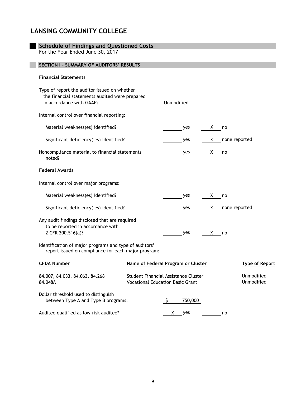| <b>Schedule of Findings and Questioned Costs</b><br>For the Year Ended June 30, 2017                                       |                                                                                        |            |         |    |                       |                          |
|----------------------------------------------------------------------------------------------------------------------------|----------------------------------------------------------------------------------------|------------|---------|----|-----------------------|--------------------------|
| SECTION I - SUMMARY OF AUDITORS' RESULTS                                                                                   |                                                                                        |            |         |    |                       |                          |
| <b>Financial Statements</b>                                                                                                |                                                                                        |            |         |    |                       |                          |
| Type of report the auditor issued on whether<br>the financial statements audited were prepared<br>in accordance with GAAP: |                                                                                        | Unmodified |         |    |                       |                          |
| Internal control over financial reporting:                                                                                 |                                                                                        |            |         |    |                       |                          |
| Material weakness(es) identified?                                                                                          |                                                                                        |            | yes     | X  | no                    |                          |
| Significant deficiency(ies) identified?                                                                                    |                                                                                        |            | yes     | X. | none reported         |                          |
| Noncompliance material to financial statements<br>noted?                                                                   |                                                                                        |            | yes     | X. | no                    |                          |
| <b>Federal Awards</b>                                                                                                      |                                                                                        |            |         |    |                       |                          |
| Internal control over major programs:                                                                                      |                                                                                        |            |         |    |                       |                          |
| Material weakness(es) identified?                                                                                          |                                                                                        |            | yes     | X. | no                    |                          |
| Significant deficiency(ies) identified?                                                                                    |                                                                                        |            | yes     | X  | none reported         |                          |
| Any audit findings disclosed that are required<br>to be reported in accordance with<br>2 CFR 200.516(a)?                   |                                                                                        |            | yes     | X. | no                    |                          |
| Identification of major programs and type of auditors'<br>report issued on compliance for each major program:              |                                                                                        |            |         |    |                       |                          |
| <b>CFDA Number</b>                                                                                                         | Name of Federal Program or Cluster                                                     |            |         |    | <b>Type of Report</b> |                          |
| 84.007, 84.033, 84.063, 84.268<br>84.048A                                                                                  | <b>Student Financial Assistance Cluster</b><br><b>Vocational Education Basic Grant</b> |            |         |    |                       | Unmodified<br>Unmodified |
| Dollar threshold used to distinguish<br>between Type A and Type B programs:                                                |                                                                                        | S.         | 750,000 |    |                       |                          |
| Auditee qualified as low-risk auditee?                                                                                     |                                                                                        | X.         | yes     |    | no                    |                          |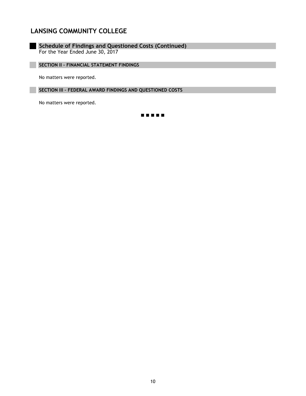# **Schedule of Findings and Questioned Costs (Continued)** For the Year Ended June 30, 2017

**SECTION II - FINANCIAL STATEMENT FINDINGS** 

No matters were reported.

**SECTION III – FEDERAL AWARD FINDINGS AND QUESTIONED COSTS**

No matters were reported.

n n n n n